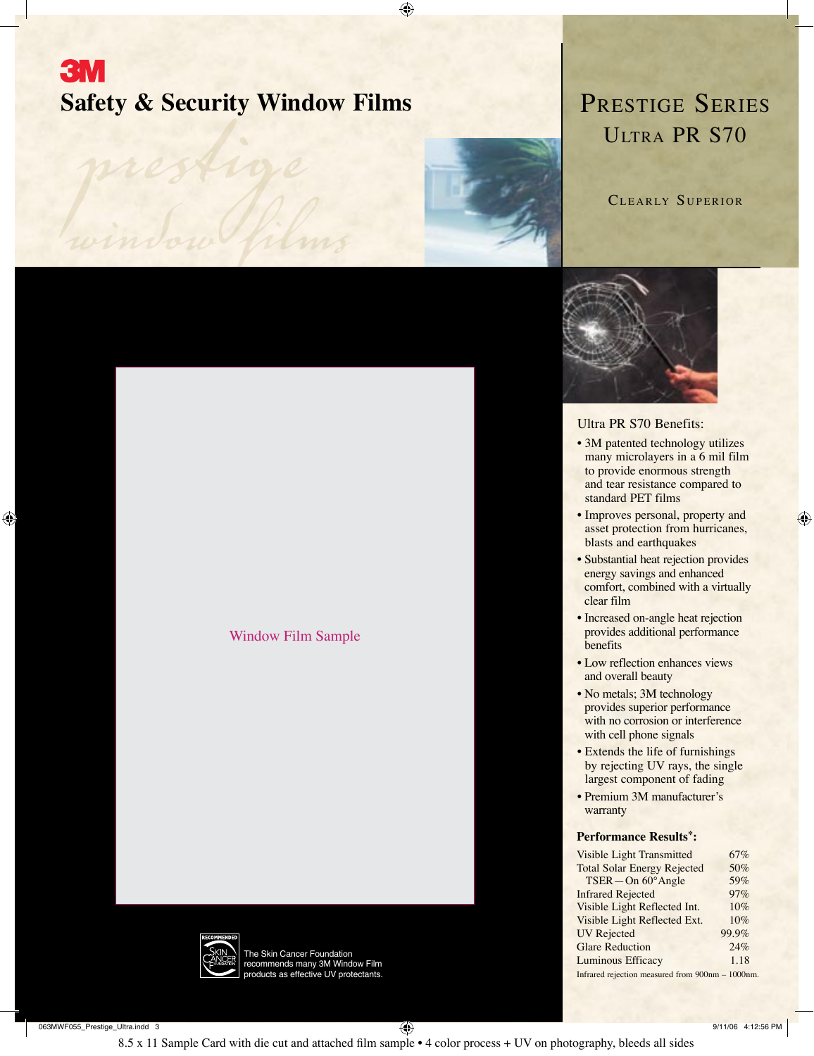# **3M Safety & Security Window Films PRESTIGE SERIES** Safety & Security Wind<br>prestige

⊕

 *window films*



CLEARLY SUPERIOR



### Ultra PR S70 Benefits:

- 3M patented technology utilizes many microlayers in a 6 mil film to provide enormous strength and tear resistance compared to standard PET films
- Improves personal, property and asset protection from hurricanes, blasts and earthquakes

⊕

- Substantial heat rejection provides energy savings and enhanced comfort, combined with a virtually clear film
- Increased on-angle heat rejection provides additional performance benefits
- Low reflection enhances views and overall beauty
- No metals; 3M technology provides superior performance with no corrosion or interference with cell phone signals
- Extends the life of furnishings by rejecting UV rays, the single largest component of fading
- Premium 3M manufacturer's warranty

#### **Performance Results\*:**

| 67%                                              |
|--------------------------------------------------|
| 50%                                              |
| 59%                                              |
| 97%                                              |
| 10%                                              |
| 10%                                              |
| 99.9%                                            |
| 24%                                              |
| 1.18                                             |
| Infrared rejection measured from 900nm - 1000nm. |
|                                                  |



The Skin Cancer Foundation recommends many 3M Window Film roducts as effective UV protectants.

Window Film Sample

063MWF055\_Prestige\_Ultra.indd 3 9/11/06 4:12:56 PM

 $\bigoplus$ 

8.5 x 11 Sample Card with die cut and attached film sample • 4 color process + UV on photography, bleeds all sides